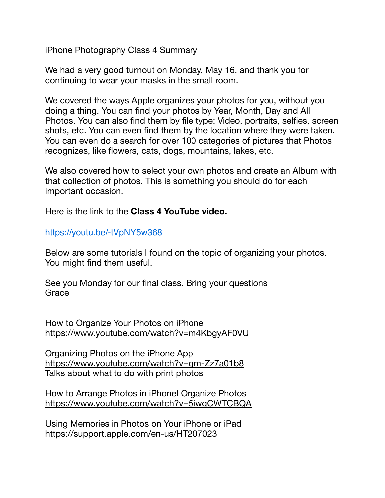iPhone Photography Class 4 Summary

We had a very good turnout on Monday, May 16, and thank you for continuing to wear your masks in the small room.

We covered the ways Apple organizes your photos for you, without you doing a thing. You can find your photos by Year, Month, Day and All Photos. You can also find them by file type: Video, portraits, selfies, screen shots, etc. You can even find them by the location where they were taken. You can even do a search for over 100 categories of pictures that Photos recognizes, like flowers, cats, dogs, mountains, lakes, etc.

We also covered how to select your own photos and create an Album with that collection of photos. This is something you should do for each important occasion.

Here is the link to the **Class 4 YouTube video.**

## https://youtu.be/-tVpNY5w368

Below are some tutorials I found on the topic of organizing your photos. You might find them useful.

See you Monday for our final class. Bring your questions **Grace** 

How to Organize Your Photos on iPhone <https://www.youtube.com/watch?v=m4KbgyAF0VU>

Organizing Photos on the iPhone App <https://www.youtube.com/watch?v=qm-Zz7a01b8> Talks about what to do with print photos

How to Arrange Photos in iPhone! Organize Photos <https://www.youtube.com/watch?v=5iwgCWTCBQA>

Using Memories in Photos on Your iPhone or iPad <https://support.apple.com/en-us/HT207023>